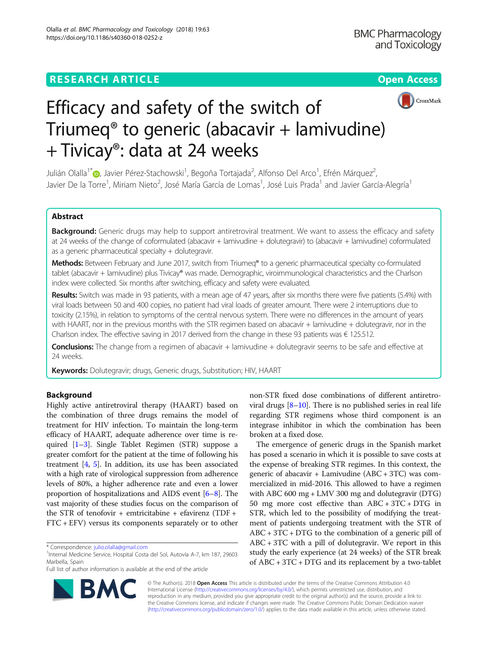## **RESEARCH ARTICLE Example 2014 12:30 The Open Access**



# Efficacy and safety of the switch of Triumeq® to generic (abacavir + lamivudine) + Tivicay®: data at 24 weeks

Julián Olalla<sup>1</sup>ँ©[,](http://orcid.org/0000-0002-8577-3891) Javier Pérez-Stachowski<sup>1</sup>, Begoña Tortajada<sup>2</sup>, Alfonso Del Arco<sup>1</sup>, Efrén Márquez<sup>2</sup> , Javier De la Torre<sup>1</sup>, Miriam Nieto<sup>2</sup>, José María García de Lomas<sup>1</sup>, José Luis Prada<sup>1</sup> and Javier García-Alegría<sup>1</sup>

## Abstract

Background: Generic drugs may help to support antiretroviral treatment. We want to assess the efficacy and safety at 24 weeks of the change of coformulated (abacavir + lamivudine + dolutegravir) to (abacavir + lamivudine) coformulated as a generic pharmaceutical specialty + dolutegravir.

Methods: Between February and June 2017, switch from Triumeq® to a generic pharmaceutical specialty co-formulated tablet (abacavir + lamivudine) plus Tivicay® was made. Demographic, viroimmunological characteristics and the Charlson index were collected. Six months after switching, efficacy and safety were evaluated.

Results: Switch was made in 93 patients, with a mean age of 47 years, after six months there were five patients (5.4%) with viral loads between 50 and 400 copies, no patient had viral loads of greater amount. There were 2 interruptions due to toxicity (2.15%), in relation to symptoms of the central nervous system. There were no differences in the amount of years with HAART, nor in the previous months with the STR regimen based on abacavir + lamivudine + dolutegravir, nor in the Charlson index. The effective saving in 2017 derived from the change in these 93 patients was € 125.512.

Conclusions: The change from a regimen of abacavir + lamivudine + dolutegravir seems to be safe and effective at 24 weeks.

Keywords: Dolutegravir; drugs, Generic drugs, Substitution; HIV, HAART

## Background

Highly active antiretroviral therapy (HAART) based on the combination of three drugs remains the model of treatment for HIV infection. To maintain the long-term efficacy of HAART, adequate adherence over time is required [\[1](#page-2-0)–[3\]](#page-2-0). Single Tablet Regimen (STR) suppose a greater comfort for the patient at the time of following his treatment [[4,](#page-3-0) [5\]](#page-3-0). In addition, its use has been associated with a high rate of virological suppression from adherence levels of 80%, a higher adherence rate and even a lower proportion of hospitalizations and AIDS event [[6](#page-3-0)–[8](#page-3-0)]. The vast majority of these studies focus on the comparison of the STR of tenofovir + emtricitabine + efavirenz (TDF + FTC + EFV) versus its components separately or to other



The emergence of generic drugs in the Spanish market has posed a scenario in which it is possible to save costs at the expense of breaking STR regimes. In this context, the generic of abacavir + Lamivudine  $(ABC + 3TC)$  was commercialized in mid-2016. This allowed to have a regimen with ABC 600 mg + LMV 300 mg and dolutegravir (DTG) 50 mg more cost effective than ABC + 3TC + DTG in STR, which led to the possibility of modifying the treatment of patients undergoing treatment with the STR of ABC + 3TC + DTG to the combination of a generic pill of ABC + 3TC with a pill of dolutegravir. We report in this study the early experience (at 24 weeks) of the STR break of ABC + 3TC + DTG and its replacement by a two-tablet



© The Author(s). 2018 Open Access This article is distributed under the terms of the Creative Commons Attribution 4.0 International License [\(http://creativecommons.org/licenses/by/4.0/](http://creativecommons.org/licenses/by/4.0/)), which permits unrestricted use, distribution, and reproduction in any medium, provided you give appropriate credit to the original author(s) and the source, provide a link to the Creative Commons license, and indicate if changes were made. The Creative Commons Public Domain Dedication waiver [\(http://creativecommons.org/publicdomain/zero/1.0/](http://creativecommons.org/publicdomain/zero/1.0/)) applies to the data made available in this article, unless otherwise stated.

<sup>\*</sup> Correspondence: [julio.olalla@gmail.com](mailto:julio.olalla@gmail.com) <sup>1</sup>

<sup>&</sup>lt;sup>1</sup>Internal Medicine Service, Hospital Costa del Sol, Autovía A-7, km 187, 29603 Marbella, Spain

Full list of author information is available at the end of the article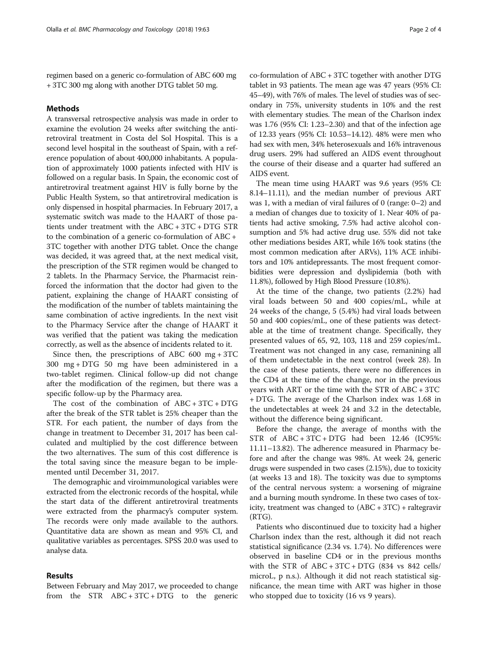regimen based on a generic co-formulation of ABC 600 mg + 3TC 300 mg along with another DTG tablet 50 mg.

## Methods

A transversal retrospective analysis was made in order to examine the evolution 24 weeks after switching the antiretroviral treatment in Costa del Sol Hospital. This is a second level hospital in the southeast of Spain, with a reference population of about 400,000 inhabitants. A population of approximately 1000 patients infected with HIV is followed on a regular basis. In Spain, the economic cost of antiretroviral treatment against HIV is fully borne by the Public Health System, so that antiretroviral medication is only dispensed in hospital pharmacies. In February 2017, a systematic switch was made to the HAART of those patients under treatment with the ABC + 3TC + DTG STR to the combination of a generic co-formulation of ABC + 3TC together with another DTG tablet. Once the change was decided, it was agreed that, at the next medical visit, the prescription of the STR regimen would be changed to 2 tablets. In the Pharmacy Service, the Pharmacist reinforced the information that the doctor had given to the patient, explaining the change of HAART consisting of the modification of the number of tablets maintaining the same combination of active ingredients. In the next visit to the Pharmacy Service after the change of HAART it was verified that the patient was taking the medication correctly, as well as the absence of incidents related to it.

Since then, the prescriptions of ABC 600 mg  $+3TC$ 300 mg + DTG 50 mg have been administered in a two-tablet regimen. Clinical follow-up did not change after the modification of the regimen, but there was a specific follow-up by the Pharmacy area.

The cost of the combination of ABC + 3TC + DTG after the break of the STR tablet is 25% cheaper than the STR. For each patient, the number of days from the change in treatment to December 31, 2017 has been calculated and multiplied by the cost difference between the two alternatives. The sum of this cost difference is the total saving since the measure began to be implemented until December 31, 2017.

The demographic and viroimmunological variables were extracted from the electronic records of the hospital, while the start data of the different antiretroviral treatments were extracted from the pharmacy's computer system. The records were only made available to the authors. Quantitative data are shown as mean and 95% CI, and qualitative variables as percentages. SPSS 20.0 was used to analyse data.

## Results

Between February and May 2017, we proceeded to change from the STR  $ABC + 3TC + DTG$  to the generic

co-formulation of ABC + 3TC together with another DTG tablet in 93 patients. The mean age was 47 years (95% CI: 45–49), with 76% of males. The level of studies was of secondary in 75%, university students in 10% and the rest with elementary studies. The mean of the Charlson index was 1.76 (95% CI: 1.23–2.30) and that of the infection age of 12.33 years (95% CI: 10.53–14.12). 48% were men who had sex with men, 34% heterosexuals and 16% intravenous drug users. 29% had suffered an AIDS event throughout the course of their disease and a quarter had suffered an AIDS event.

The mean time using HAART was 9.6 years (95% CI: 8.14–11.11), and the median number of previous ART was 1, with a median of viral failures of 0 (range: 0–2) and a median of changes due to toxicity of 1. Near 40% of patients had active smoking, 7.5% had active alcohol consumption and 5% had active drug use. 55% did not take other mediations besides ART, while 16% took statins (the most common medication after ARVs), 11% ACE inhibitors and 10% antidepressants. The most frequent comorbidities were depression and dyslipidemia (both with 11.8%), followed by High Blood Pressure (10.8%).

At the time of the change, two patients (2.2%) had viral loads between 50 and 400 copies/mL, while at 24 weeks of the change, 5 (5.4%) had viral loads between 50 and 400 copies/mL, one of these patients was detectable at the time of treatment change. Specifically, they presented values of 65, 92, 103, 118 and 259 copies/mL. Treatment was not changed in any case, remanining all of them undetectable in the next control (week 28). In the case of these patients, there were no differences in the CD4 at the time of the change, nor in the previous years with ART or the time with the STR of ABC + 3TC + DTG. The average of the Charlson index was 1.68 in the undetectables at week 24 and 3.2 in the detectable, without the difference being significant.

Before the change, the average of months with the STR of  $ABC + 3TC + DTG$  had been 12.46 (IC95%: 11.11–13.82). The adherence measured in Pharmacy before and after the change was 98%. At week 24, generic drugs were suspended in two cases (2.15%), due to toxicity (at weeks 13 and 18). The toxicity was due to symptoms of the central nervous system: a worsening of migraine and a burning mouth syndrome. In these two cases of toxicity, treatment was changed to (ABC + 3TC) + raltegravir (RTG).

Patients who discontinued due to toxicity had a higher Charlson index than the rest, although it did not reach statistical significance (2.34 vs. 1.74). No differences were observed in baseline CD4 or in the previous months with the STR of  $ABC + 3TC + DTG$  (834 vs 842 cells/ microL, p n.s.). Although it did not reach statistical significance, the mean time with ART was higher in those who stopped due to toxicity (16 vs 9 years).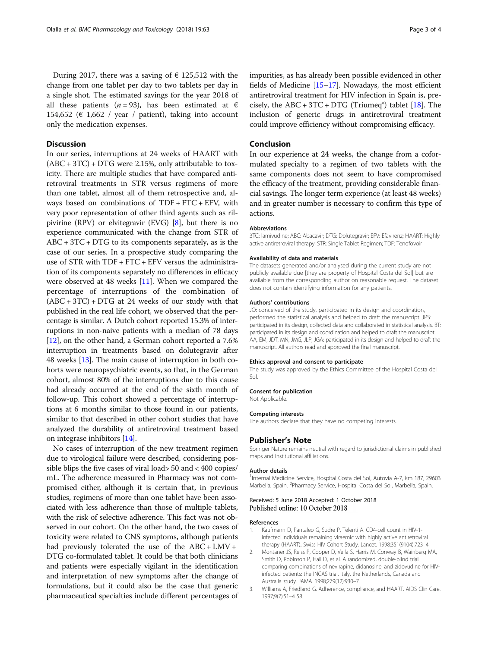<span id="page-2-0"></span>During 2017, there was a saving of  $\epsilon$  125,512 with the change from one tablet per day to two tablets per day in a single shot. The estimated savings for the year 2018 of all these patients (*n* = 93), has been estimated at  $\epsilon$ 154,652 ( $\epsilon$  1,662 / year / patient), taking into account only the medication expenses.

#### **Discussion**

In our series, interruptions at 24 weeks of HAART with (ABC + 3TC) + DTG were 2.15%, only attributable to toxicity. There are multiple studies that have compared antiretroviral treatments in STR versus regimens of more than one tablet, almost all of them retrospective and, always based on combinations of TDF + FTC + EFV, with very poor representation of other third agents such as rilpivirine (RPV) or elvitegravir (EVG) [\[8](#page-3-0)], but there is no experience communicated with the change from STR of  $ABC + 3TC + DTG$  to its components separately, as is the case of our series. In a prospective study comparing the use of STR with TDF + FTC + EFV versus the administration of its components separately no differences in efficacy were observed at 48 weeks [\[11\]](#page-3-0). When we compared the percentage of interruptions of the combination of  $(ABC + 3TC) + DTG$  at 24 weeks of our study with that published in the real life cohort, we observed that the percentage is similar. A Dutch cohort reported 15.3% of interruptions in non-naive patients with a median of 78 days [[12](#page-3-0)], on the other hand, a German cohort reported a 7.6% interruption in treatments based on dolutegravir after 48 weeks [\[13\]](#page-3-0). The main cause of interruption in both cohorts were neuropsychiatric events, so that, in the German cohort, almost 80% of the interruptions due to this cause had already occurred at the end of the sixth month of follow-up. This cohort showed a percentage of interruptions at 6 months similar to those found in our patients, similar to that described in other cohort studies that have analyzed the durability of antiretroviral treatment based on integrase inhibitors [\[14\]](#page-3-0).

No cases of interruption of the new treatment regimen due to virological failure were described, considering possible blips the five cases of viral load> 50 and < 400 copies/ mL. The adherence measured in Pharmacy was not compromised either, although it is certain that, in previous studies, regimens of more than one tablet have been associated with less adherence than those of multiple tablets, with the risk of selective adherence. This fact was not observed in our cohort. On the other hand, the two cases of toxicity were related to CNS symptoms, although patients had previously tolerated the use of the  $ABC + LMV +$ DTG co-formulated tablet. It could be that both clinicians and patients were especially vigilant in the identification and interpretation of new symptoms after the change of formulations, but it could also be the case that generic pharmaceutical specialties include different percentages of

impurities, as has already been possible evidenced in other fields of Medicine [\[15](#page-3-0)–[17](#page-3-0)]. Nowadays, the most efficient antiretroviral treatment for HIV infection in Spain is, pre-cisely, the ABC + 3TC + DTG (Triumeq<sup>®</sup>) tablet [\[18](#page-3-0)]. The inclusion of generic drugs in antiretroviral treatment could improve efficiency without compromising efficacy.

## Conclusion

In our experience at 24 weeks, the change from a coformulated specialty to a regimen of two tablets with the same components does not seem to have compromised the efficacy of the treatment, providing considerable financial savings. The longer term experience (at least 48 weeks) and in greater number is necessary to confirm this type of actions.

#### Abbreviations

3TC: lamivudine; ABC: Abacavir; DTG: Dolutegravir; EFV: Efavirenz; HAART: Highly active antiretroviral therapy; STR: Single Tablet Regimen; TDF: Tenofovoir

#### Availability of data and materials

The datasets generated and/or analysed during the current study are not publicly available due [they are property of Hospital Costa del Sol] but are available from the corresponding author on reasonable request. The dataset does not contain identifying information for any patients.

#### Authors' contributions

JO: conceived of the study, participated in its design and coordination, performed the statistical analysis and helped to draft the manuscript. JPS: participated in its design, collected data and collaborated in statistical analysis. BT: participated in its design and coordination and helped to draft the manuscript. AA, EM, JDT, MN, JMG, JLP, JGA: participated in its design and helped to draft the manuscript. All authors read and approved the final manuscript.

#### Ethics approval and consent to participate

The study was approved by the Ethics Committee of the Hospital Costa del Sol.

#### Consent for publication

Not Applicable.

#### Competing interests

The authors declare that they have no competing interests.

#### Publisher's Note

Springer Nature remains neutral with regard to jurisdictional claims in published maps and institutional affiliations.

#### Author details

<sup>1</sup>Internal Medicine Service, Hospital Costa del Sol, Autovía A-7, km 187, 29603 Marbella, Spain. <sup>2</sup>Pharmacy Service, Hospital Costa del Sol, Marbella, Spain

#### Received: 5 June 2018 Accepted: 1 October 2018 Published online: 10 October 2018

#### References

- 1. Kaufmann D, Pantaleo G, Sudre P, Telenti A. CD4-cell count in HIV-1 infected individuals remaining viraemic with highly active antiretroviral therapy (HAART). Swiss HIV Cohort Study. Lancet. 1998;351(9104):723–4.
- 2. Montaner JS, Reiss P, Cooper D, Vella S, Harris M, Conway B, Wainberg MA, Smith D, Robinson P, Hall D, et al. A randomized, double-blind trial comparing combinations of nevirapine, didanosine, and zidovudine for HIVinfected patients: the INCAS trial. Italy, the Netherlands, Canada and Australia study. JAMA. 1998;279(12):930–7.
- 3. Williams A, Friedland G. Adherence, compliance, and HAART. AIDS Clin Care. 1997;9(7):51–4 58.